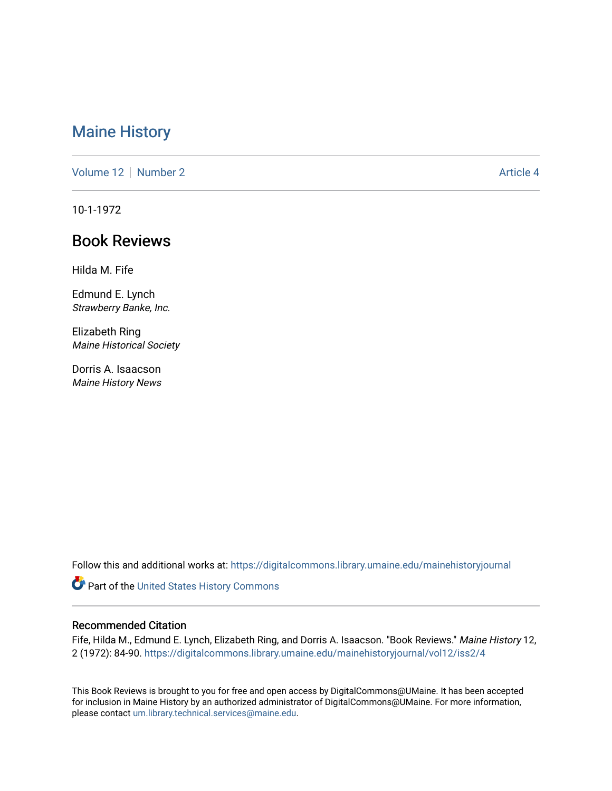## [Maine History](https://digitalcommons.library.umaine.edu/mainehistoryjournal)

[Volume 12](https://digitalcommons.library.umaine.edu/mainehistoryjournal/vol12) [Number 2](https://digitalcommons.library.umaine.edu/mainehistoryjournal/vol12/iss2) Article 4

10-1-1972

## Book Reviews

Hilda M. Fife

Edmund E. Lynch Strawberry Banke, Inc.

Elizabeth Ring Maine Historical Society

Dorris A. Isaacson Maine History News

Follow this and additional works at: [https://digitalcommons.library.umaine.edu/mainehistoryjournal](https://digitalcommons.library.umaine.edu/mainehistoryjournal?utm_source=digitalcommons.library.umaine.edu%2Fmainehistoryjournal%2Fvol12%2Fiss2%2F4&utm_medium=PDF&utm_campaign=PDFCoverPages) 

Part of the [United States History Commons](http://network.bepress.com/hgg/discipline/495?utm_source=digitalcommons.library.umaine.edu%2Fmainehistoryjournal%2Fvol12%2Fiss2%2F4&utm_medium=PDF&utm_campaign=PDFCoverPages) 

## Recommended Citation

Fife, Hilda M., Edmund E. Lynch, Elizabeth Ring, and Dorris A. Isaacson. "Book Reviews." Maine History 12, 2 (1972): 84-90. [https://digitalcommons.library.umaine.edu/mainehistoryjournal/vol12/iss2/4](https://digitalcommons.library.umaine.edu/mainehistoryjournal/vol12/iss2/4?utm_source=digitalcommons.library.umaine.edu%2Fmainehistoryjournal%2Fvol12%2Fiss2%2F4&utm_medium=PDF&utm_campaign=PDFCoverPages) 

This Book Reviews is brought to you for free and open access by DigitalCommons@UMaine. It has been accepted for inclusion in Maine History by an authorized administrator of DigitalCommons@UMaine. For more information, please contact [um.library.technical.services@maine.edu.](mailto:um.library.technical.services@maine.edu)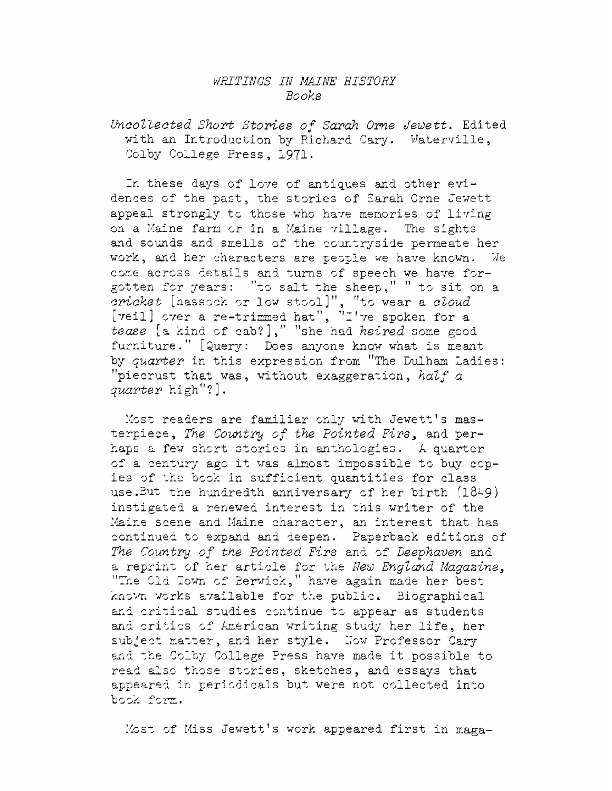## *WRITINGS IN MAINE RISTORI Books*

*Uncollected Short Stories of Sarah Ome Jewett.* Edited with an Introduction by Richard Cary. Waterville, Colby College Press, 1971.

In these days of love of antiques and other evidences of the past, the stories of Sarah Orne Jewett appeal strongly to those who have memories of living on <sup>a</sup> Maine farm or in <sup>a</sup> Maine village. The sights and sounds and smells of the countryside permeate her work, and her characters are people we have known. We come across details and turns of speech we have forgotten for years: "to salt the sheep," " to sit on <sup>a</sup> *cricket* [hassock or low stool]", "to wear <sup>a</sup> *cloud* [veil] over a re-trimmed hat", "I've spoken for a *tease* [a kind of cab?]," "she had *heired* some good furniture." [Query: Does anyone know what is meant by *quarter* in this expression from "The Dulham Ladies: "piecrust that was, without exaggeration, *half <sup>a</sup> quarter* high"?].

Most readers are familiar only with Jewett'<sup>s</sup> masterpiece, *The Country of the Pointed Firs>* and perhaps a few short stories in anthologies, *k* quarter of <sup>a</sup> century ago it was almost impossible to buy copies of the book in sufficient quantities for class use. But the hundredth anniversary of her birth  $(1849)$ instigated a renewed interest in this writer of the Maine scene and Maine character, an interest that has continued to expand and deepen. Paperback editions of *The Country of the Pointed Firs* and of *Deephaven* and a reprint of her article for the *New England Magazine*. "The Cid Town of Berwick," have again made her best known works available for the public. Biographical and critical studies continue to appear as students and critics of American writing study her life, her subject matter, and her style. Now Professor Cary and the Colby College Press have made it possible to read also those stories, sketches, and essays that appeared in periodicals but were not collected into book form.

Most of Miss Jewett's work appeared first in maga-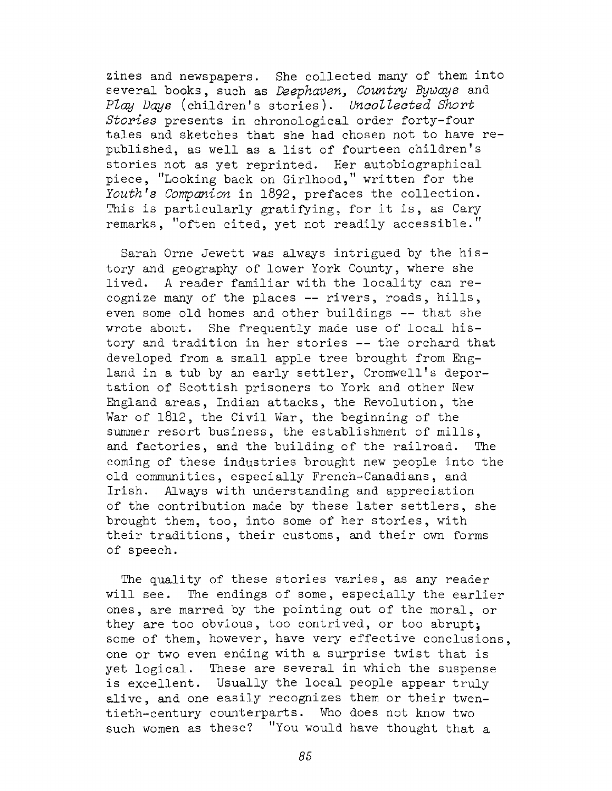zines and newspapers. She collected many of them into several books, such as *Deephaven, Country Byways* and *Play Days* (children'<sup>s</sup> stories). *Uncollected Short Stories* presents in chronological order forty-four tales and sketches that she had chosen not to have republished, as well as <sup>a</sup> list of fourteen children'<sup>s</sup> stories not as yet reprinted. Her autobiographical piece, ''Looking back on Girlhood," written for the *Youth9s Companion* in 1892, prefaces the collection. This is particularly gratifying, for it is, as Cary remarks, ''often cited, yet not readily accessible."

Sarah Orne Jewett was always intrigued by the history and geography of lower York County, where she lived. <sup>A</sup> reader familiar with the locality can recognize many of the places — rivers, roads, hills, even some old homes and other buildings — that she wrote about. She frequently made use of local history and tradition in her stories -- the orchard that developed from a small apple tree brought from England in <sup>a</sup> tub by an early settler, Cromwell'<sup>s</sup> deportation of Scottish prisoners to York and other New England areas, Indian attacks, the Revolution, the War of 1812, the Civil War, the beginning of the summer resort business, the establishment of mills, and factories, and the building of the railroad. The coming of these industries brought new people into the old communities, especially French-Canadians, and Irish. Always with understanding and appreciation of the contribution made by these later settlers, she brought them, too, into some of her stories, with their traditions, their customs, and their own forms of speech.

The quality of these stories varies, as any reader will see. The endings of some, especially the earlier ones, are marred by the pointing out of the moral, or they are too obvious, too contrived, or too abrupt; some of them, however, have very effective conclusions. one or two even ending with a surprise twist that is yet logical. These are several in which the suspense is excellent. Usually the local people appear truly alive, and one easily recognizes them or their twentieth-century counterparts. Who does not know two such women as these? "You would have thought that a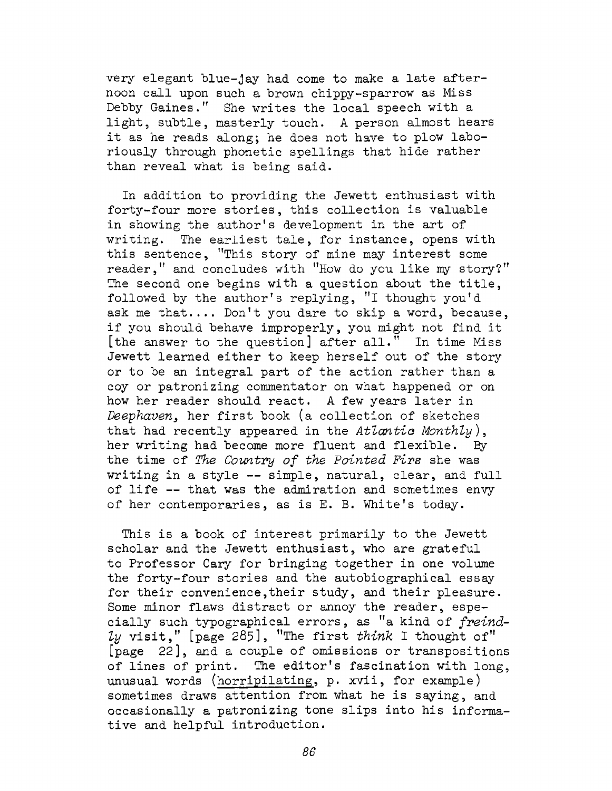very elegant blue-jay had come to make a late afternoon call upon such a brown chippy-sparrow as Miss Debby Gaines." She writes the local speech with <sup>a</sup> light, subtle, masterly touch. <sup>A</sup> person almost hears it as he reads along; he does not have to plow laboriously through phonetic spellings that hide rather than reveal what is being said.

In addition to providing the Jewett enthusiast with forty-four more stories, this collection is valuable in showing the author'<sup>s</sup> development in the art of writing. The earliest tale, for instance, opens with this sentence, "This story of mine may interest some reader," and concludes with "How do you like my story?" The second one begins with <sup>a</sup> question about the title, followed by the author'<sup>s</sup> replying, "I thought you'<sup>d</sup> ask me that.... Don'<sup>t</sup> you dare to skip <sup>a</sup> word, because, if you should behave improperly, you might not find it [the answer to the question] after all." In time Miss Jewett learned either to keep herself out of the story or to be an integral part of the action rather than <sup>a</sup> coy or patronizing commentator on what happened or on how her reader should react. <sup>A</sup> few years later in *Deephaven,* her first book (a collection of sketches that had recently appeared in the *Atlantic Monthly ),* her writing had become more fluent and flexible. By the time of *The Country of the Pointed Firs* she was writing in <sup>a</sup> style — simple, natural, clear, and full of life — that was the admiration and sometimes envy of her contemporaries, as is E. B. White'<sup>s</sup> today.

This is a book of interest primarily to the Jewett scholar and the Jewett enthusiast, who are grateful to Professor Cary for bringing together in one volume the forty-four stories and the autobiographical essay for their convenience, their study, and their pleasure. Some minor flaws distract or annoy the reader, especially such typographical errors, as "a kind of *freindly* visit," [page 285], "The first *think* I thought of" [page 22], and <sup>a</sup> couple of omissions or transpositions of lines of print. The editor'<sup>s</sup> fascination with long, unusual words (horripilating, p. xvii, for example) sometimes draws attention from what he is saying, and occasionally a patronizing tone slips into his informative and helpful introduction.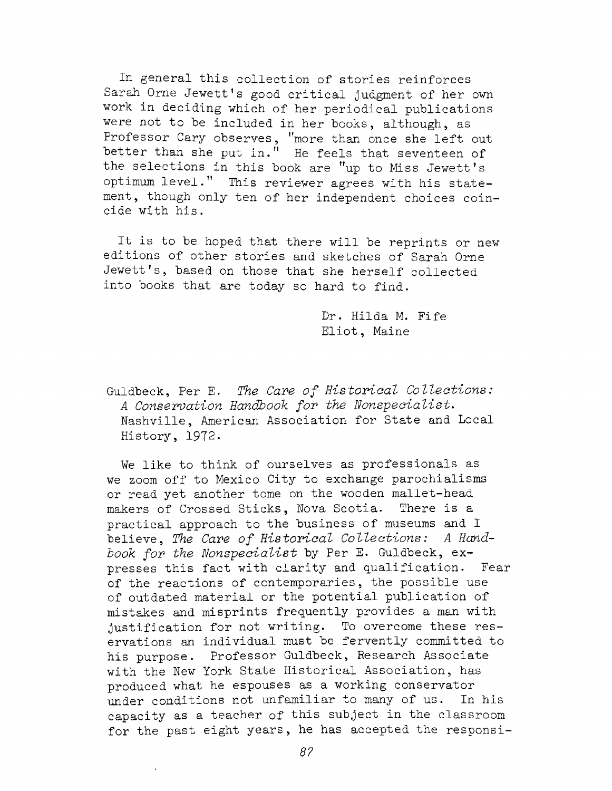In general this collection of stories reinforces Sarah Orne Jewett'<sup>s</sup> good critical judgment of her own work in deciding which of her periodical publications were not to be included in her books, although, as Professor Cary observes, ''more than once she left out better than she put in." He feels that seventeen of the selections in this book are "up to Miss Jewett'<sup>s</sup> optimum level." This reviewer agrees with his statement, though only ten of her independent choices coincide with his.

It is to be hoped that there will be reprints or new editions of other stories and sketches of Sarah Orne Jewett's, based on those that she herself collected into books that are today so hard to find.

> Dr. Hilda M. Fife Eliot, Maine

Guldbeck, Per E. *The Care of Historical Collections: <sup>A</sup> Conservation Handbook for the Nonspecialist.* Nashville, American Association for State and Local History, 1972.

We like to think of ourselves as professionals as we zoom off to Mexico City to exchange parochialisms or read yet another tome on the wooden mallet-head makers of Crossed Sticks, Nova Scotia. There is a practical approach to the business of museums and I believe, *The Care of Historical Collections: <sup>A</sup> Handbook for the Nonspecialist* by Per E. Guldbeck, expresses this fact with clarity and qualification. Fear of the reactions of contemporaries, the possible use of outdated material or the potential publication of mistakes and misprints frequently provides a man with justification for not writing. To overcome these reservations an individual must be fervently committed to his purpose. Professor Guldbeck, Research Associate with the New York State Historical Association, has produced what he espouses as a working conservator under conditions not unfamiliar to many of us. In his capacity as <sup>a</sup> teacher of this subject in the classroom for the past eight years, he has accepted the responsi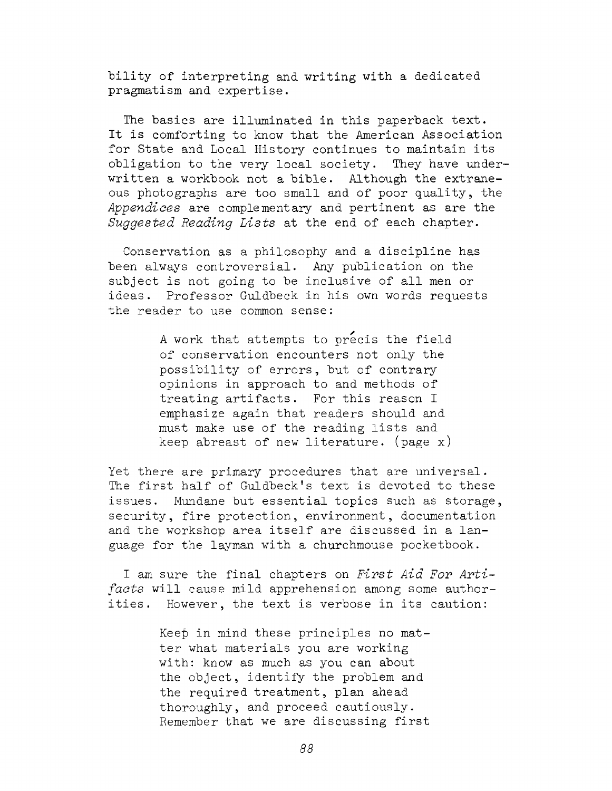bility of interpreting and writing with <sup>a</sup> dedicated pragmatism and expertise.

The basics are illuminated in this paperback text. It is comforting to know that the American Association for State and Local History continues to maintain its obligation to the very local society. They have underwritten <sup>a</sup> workbook not <sup>a</sup> bible. Although the extraneous photographs are too small and of poor quality, the *Appendices* are complementary and pertinent as are the *Suggested Reading Lists* at the end of each chapter.

Conservation as a philosophy and a discipline has been always controversial. Any publication on the subject is not going to be inclusive of all men or ideas. Professor Guldbeck in his own words requests the reader to use common sense:

> <sup>A</sup> work that attempts to precis the field of conservation encounters not only the possibility of errors, but of contrary opinions in approach to and methods of treating artifacts. For this reason I emphasize again that readers should and must make use of the reading lists and keep abreast of new literature, (page x)

Yet there are primary procedures that are universal. The first half of Guldbeck's text is devoted to these issues. Mundane but essential topics such as storage, security, fire protection, environment, documentation and the workshop area itself are discussed in <sup>a</sup> language for the layman with a churchmouse pocketbook.

I am sure the final chapters on *First Aid For Artifacts* will cause mild apprehension among some authorities. However, the text is verbose in its caution:

> Keep in mind these principles no matter what materials you are working with: know as much as you can about the object, identify the problem and the required treatment, plan ahead thoroughly, and proceed cautiously. Remember that we are discussing first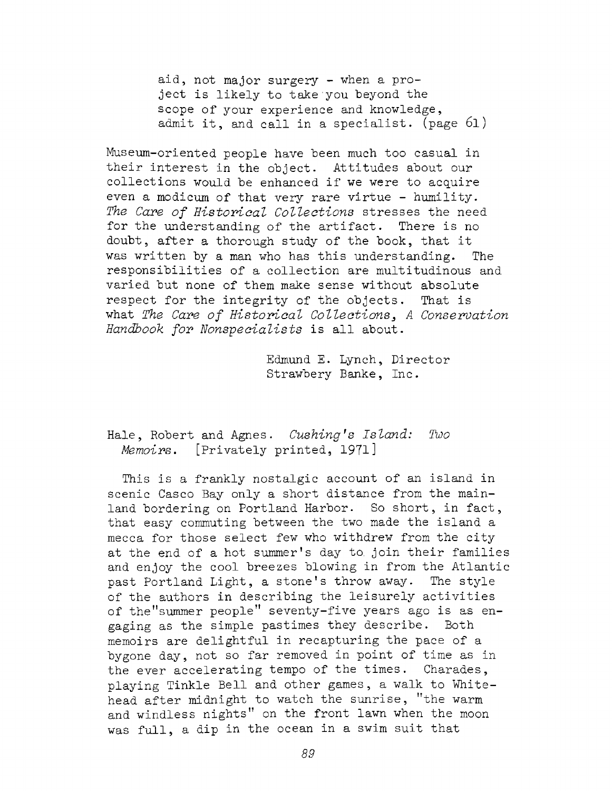aid, not major surgery - when a project is likely to take'you beyond the scope of your experience and knowledge, admit it, and call in <sup>a</sup> specialist, (page 61)

Museum-oriented people have been much too casual in their interest in the object. Attitudes about our collections would be enhanced if we were to acquire even a modicum of that very rare virtue - humility. *The Care of Historical Collections* stresses the need for the understanding of the artifact. doubt, after <sup>a</sup> thorough study of the book, that it was written by a man who has this understanding. The responsibilities of a collection are multitudinous and varied but none of them make sense without absolute respect for the integrity of the objects. That is what *The Care of Historical Collections*, A *Conservation Handbook for Nonspecialists* is all about.

> Edmund E. Lynch, Director Strawbery Banke, Inc.

Hale, Robert and Agnes. *Cushing\*s Island: Tmo Memoirs.* [Privately printed, 1971]

This is <sup>a</sup> frankly nostalgic account of an island in scenic Casco Bay only a short distance from the mainland bordering on Portland Harbor. So short, in fact, that easy commuting between the two made the island a mecca for those select few who withdrew from the city at the end of <sup>a</sup> hot summer'<sup>s</sup> day to. join their families and enjoy the cool breezes blowing in from the Atlantic past Portland Light, <sup>a</sup> stone'<sup>s</sup> throw away. The style of the authors in describing the leisurely activities of the"summer people" seventy-five years ago is as engaging as the simple pastimes they describe. Both memoirs are delightful in recapturing the pace of <sup>a</sup> bygone day, not so far removed in point of time as in the ever accelerating tempo of the times. Charades, playing Tinkle Bell and other games, a walk to Whitehead after midnight to watch the sunrise, ''the warm and windless nights" on the front lawn when the moon was full, <sup>a</sup> dip in the ocean in <sup>a</sup> swim suit that